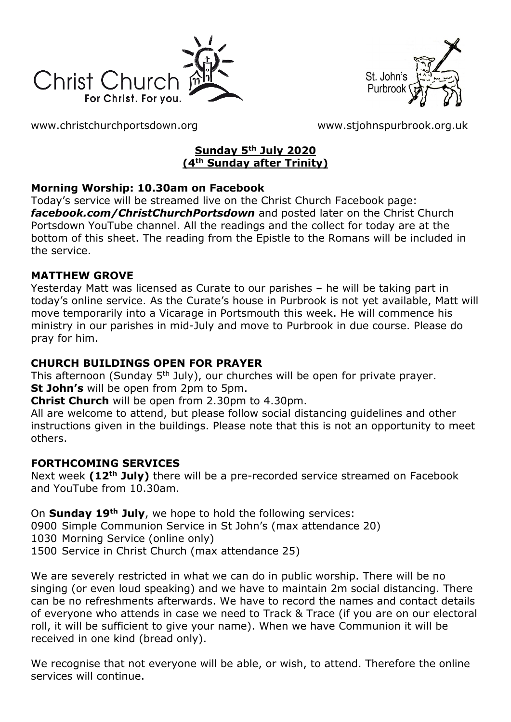



[www.christchurchportsdown.org](http://www.christchurchportsdown.org/) [www.stjohnspurbrook.org.uk](http://www.stjohnspurbrook.org.uk/)

### **Sunday 5th July 2020 (4th Sunday after Trinity)**

### **Morning Worship: 10.30am on Facebook**

Today's service will be streamed live on the Christ Church Facebook page: *[facebook.com/ChristChurchPortsdown](http://www.facebook.com/ChristChurchPortsdown%20at%2010.30)* and posted later on the Christ Church Portsdown YouTube channel. All the readings and the collect for today are at the bottom of this sheet. The reading from the Epistle to the Romans will be included in the service.

### **MATTHEW GROVE**

Yesterday Matt was licensed as Curate to our parishes – he will be taking part in today's online service. As the Curate's house in Purbrook is not yet available, Matt will move temporarily into a Vicarage in Portsmouth this week. He will commence his ministry in our parishes in mid-July and move to Purbrook in due course. Please do pray for him.

### **CHURCH BUILDINGS OPEN FOR PRAYER**

This afternoon (Sunday 5<sup>th</sup> July), our churches will be open for private prayer. **St John's** will be open from 2pm to 5pm.

**Christ Church** will be open from 2.30pm to 4.30pm.

All are welcome to attend, but please follow social distancing guidelines and other instructions given in the buildings. Please note that this is not an opportunity to meet others.

### **FORTHCOMING SERVICES**

Next week **(12th July)** there will be a pre-recorded service streamed on Facebook and YouTube from 10.30am.

On **Sunday 19th July**, we hope to hold the following services:

0900 Simple Communion Service in St John's (max attendance 20)

1030 Morning Service (online only)

1500 Service in Christ Church (max attendance 25)

We are severely restricted in what we can do in public worship. There will be no singing (or even loud speaking) and we have to maintain 2m social distancing. There can be no refreshments afterwards. We have to record the names and contact details of everyone who attends in case we need to Track & Trace (if you are on our electoral roll, it will be sufficient to give your name). When we have Communion it will be received in one kind (bread only).

We recognise that not everyone will be able, or wish, to attend. Therefore the online services will continue.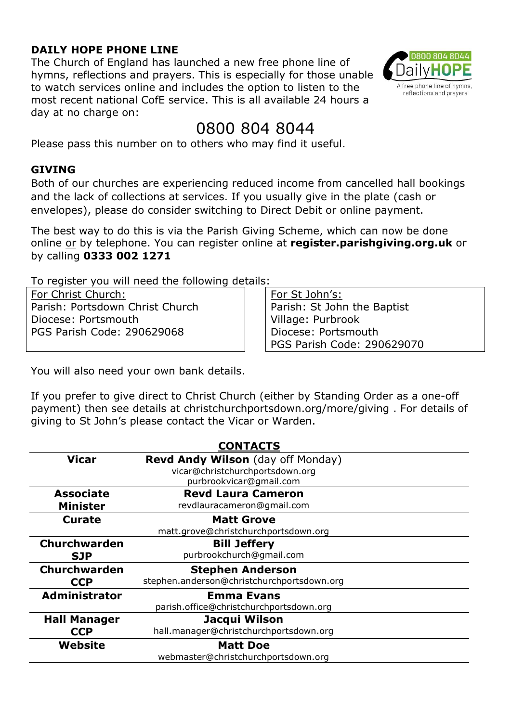### **DAILY HOPE PHONE LINE**

The Church of England has launched a new free phone line of hymns, reflections and prayers. This is especially for those unable to watch services online and includes the option to listen to the most recent national CofE service. This is all available 24 hours a day at no charge on:



# 0800 804 8044

Please pass this number on to others who may find it useful.

#### **GIVING**

Both of our churches are experiencing reduced income from cancelled hall bookings and the lack of collections at services. If you usually give in the plate (cash or envelopes), please do consider switching to Direct Debit or online payment.

The best way to do this is via the Parish Giving Scheme, which can now be done online or by telephone. You can register online at **register.parishgiving.org.uk** or by calling **0333 002 1271**

To register you will need the following details:

For Christ Church: Parish: Portsdown Christ Church Diocese: Portsmouth PGS Parish Code: 290629068

For St John's: Parish: St John the Baptist Village: Purbrook Diocese: Portsmouth PGS Parish Code: 290629070

You will also need your own bank details.

If you prefer to give direct to Christ Church (either by Standing Order as a one-off payment) then see details at christchurchportsdown.org/more/giving . For details of giving to St John's please contact the Vicar or Warden.

| <b>CONTACTS</b>      |                                            |
|----------------------|--------------------------------------------|
| Vicar                | <b>Revd Andy Wilson</b> (day off Monday)   |
|                      | vicar@christchurchportsdown.org            |
|                      | purbrookvicar@gmail.com                    |
| <b>Associate</b>     | <b>Revd Laura Cameron</b>                  |
| <b>Minister</b>      | revdlauracameron@gmail.com                 |
| <b>Curate</b>        | <b>Matt Grove</b>                          |
|                      | matt.grove@christchurchportsdown.org       |
| <b>Churchwarden</b>  | <b>Bill Jeffery</b>                        |
| <b>SJP</b>           | purbrookchurch@gmail.com                   |
| Churchwarden         | <b>Stephen Anderson</b>                    |
| <b>CCP</b>           | stephen.anderson@christchurchportsdown.org |
| <b>Administrator</b> | <b>Emma Evans</b>                          |
|                      | parish.office@christchurchportsdown.org    |
| <b>Hall Manager</b>  | Jacqui Wilson                              |
| <b>CCP</b>           | hall.manager@christchurchportsdown.org     |
| Website              | <b>Matt Doe</b>                            |
|                      | webmaster@christchurchportsdown.org        |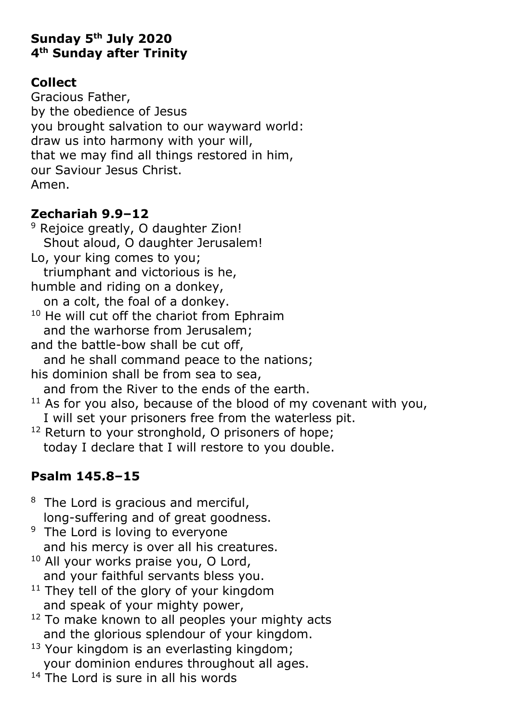# **Sunday 5 th July 2020 4 th Sunday after Trinity**

# **Collect**

Gracious Father, by the obedience of Jesus you brought salvation to our wayward world: draw us into harmony with your will, that we may find all things restored in him, our Saviour Jesus Christ. Amen.

# **Zechariah 9.9–12**

<sup>9</sup> Rejoice greatly, O daughter Zion! Shout aloud, O daughter Jerusalem! Lo, your king comes to you; triumphant and victorious is he, humble and riding on a donkey, on a colt, the foal of a donkey.  $10$  He will cut off the chariot from Ephraim and the warhorse from Jerusalem; and the battle-bow shall be cut off, and he shall command peace to the nations; his dominion shall be from sea to sea, and from the River to the ends of the earth.  $11$  As for you also, because of the blood of my covenant with you,

 I will set your prisoners free from the waterless pit. <sup>12</sup> Return to your stronghold, O prisoners of hope; today I declare that I will restore to you double.

# **Psalm 145.8–15**

- <sup>8</sup> The Lord is gracious and merciful, long-suffering and of great goodness.
- <sup>9</sup> The Lord is loving to everyone and his mercy is over all his creatures.
- <sup>10</sup> All your works praise you, O Lord, and your faithful servants bless you.
- $11$  They tell of the glory of your kingdom and speak of your mighty power,
- $12$  To make known to all peoples your mighty acts and the glorious splendour of your kingdom.
- <sup>13</sup> Your kingdom is an everlasting kingdom; your dominion endures throughout all ages.
- $14$  The Lord is sure in all his words